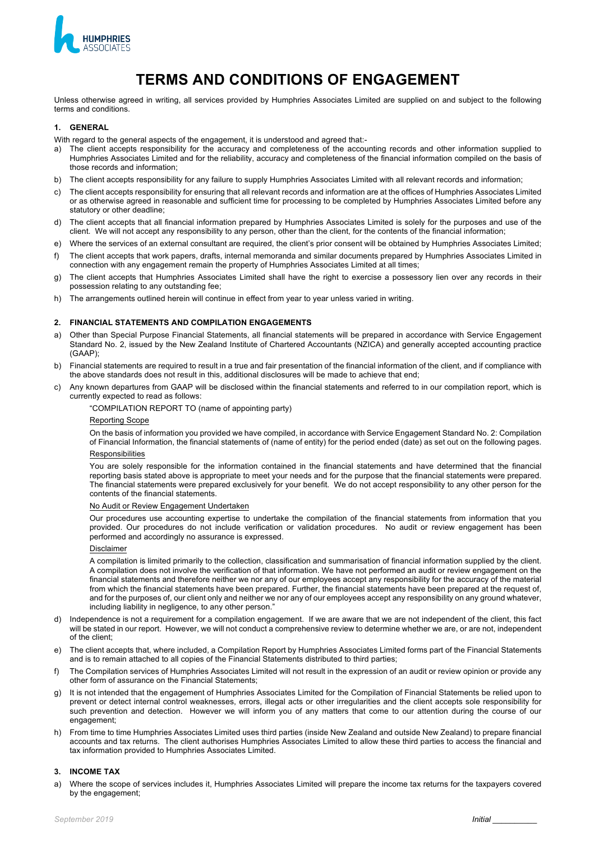

# **TERMS AND CONDITIONS OF ENGAGEMENT**

Unless otherwise agreed in writing, all services provided by Humphries Associates Limited are supplied on and subject to the following terms and conditions.

# **1. GENERAL**

With regard to the general aspects of the engagement, it is understood and agreed that:-

- a) The client accepts responsibility for the accuracy and completeness of the accounting records and other information supplied to Humphries Associates Limited and for the reliability, accuracy and completeness of the financial information compiled on the basis of those records and information;
- b) The client accepts responsibility for any failure to supply Humphries Associates Limited with all relevant records and information;
- c) The client accepts responsibility for ensuring that all relevant records and information are at the offices of Humphries Associates Limited or as otherwise agreed in reasonable and sufficient time for processing to be completed by Humphries Associates Limited before any statutory or other deadline;
- d) The client accepts that all financial information prepared by Humphries Associates Limited is solely for the purposes and use of the client. We will not accept any responsibility to any person, other than the client, for the contents of the financial information;
- e) Where the services of an external consultant are required, the client's prior consent will be obtained by Humphries Associates Limited;
- f) The client accepts that work papers, drafts, internal memoranda and similar documents prepared by Humphries Associates Limited in connection with any engagement remain the property of Humphries Associates Limited at all times;
- g) The client accepts that Humphries Associates Limited shall have the right to exercise a possessory lien over any records in their possession relating to any outstanding fee;
- h) The arrangements outlined herein will continue in effect from year to year unless varied in writing.

# **2. FINANCIAL STATEMENTS AND COMPILATION ENGAGEMENTS**

- a) Other than Special Purpose Financial Statements, all financial statements will be prepared in accordance with Service Engagement Standard No. 2, issued by the New Zealand Institute of Chartered Accountants (NZICA) and generally accepted accounting practice (GAAP);
- b) Financial statements are required to result in a true and fair presentation of the financial information of the client, and if compliance with the above standards does not result in this, additional disclosures will be made to achieve that end;
- c) Any known departures from GAAP will be disclosed within the financial statements and referred to in our compilation report, which is currently expected to read as follows:

"COMPILATION REPORT TO (name of appointing party)

# Reporting Scope

On the basis of information you provided we have compiled, in accordance with Service Engagement Standard No. 2: Compilation of Financial Information, the financial statements of (name of entity) for the period ended (date) as set out on the following pages. **Responsibilities** 

You are solely responsible for the information contained in the financial statements and have determined that the financial reporting basis stated above is appropriate to meet your needs and for the purpose that the financial statements were prepared. The financial statements were prepared exclusively for your benefit. We do not accept responsibility to any other person for the contents of the financial statements.

#### No Audit or Review Engagement Undertaken

Our procedures use accounting expertise to undertake the compilation of the financial statements from information that you provided. Our procedures do not include verification or validation procedures. No audit or review engagement has been performed and accordingly no assurance is expressed.

#### Disclaimer

A compilation is limited primarily to the collection, classification and summarisation of financial information supplied by the client. A compilation does not involve the verification of that information. We have not performed an audit or review engagement on the financial statements and therefore neither we nor any of our employees accept any responsibility for the accuracy of the material from which the financial statements have been prepared. Further, the financial statements have been prepared at the request of, and for the purposes of, our client only and neither we nor any of our employees accept any responsibility on any ground whatever, including liability in negligence, to any other person."

- d) Independence is not a requirement for a compilation engagement. If we are aware that we are not independent of the client, this fact will be stated in our report. However, we will not conduct a comprehensive review to determine whether we are, or are not, independent of the client;
- e) The client accepts that, where included, a Compilation Report by Humphries Associates Limited forms part of the Financial Statements and is to remain attached to all copies of the Financial Statements distributed to third parties;
- f) The Compilation services of Humphries Associates Limited will not result in the expression of an audit or review opinion or provide any other form of assurance on the Financial Statements;
- g) It is not intended that the engagement of Humphries Associates Limited for the Compilation of Financial Statements be relied upon to prevent or detect internal control weaknesses, errors, illegal acts or other irregularities and the client accepts sole responsibility for such prevention and detection. However we will inform you of any matters that come to our attention during the course of our engagement;
- h) From time to time Humphries Associates Limited uses third parties (inside New Zealand and outside New Zealand) to prepare financial accounts and tax returns. The client authorises Humphries Associates Limited to allow these third parties to access the financial and tax information provided to Humphries Associates Limited.

## **3. INCOME TAX**

a) Where the scope of services includes it, Humphries Associates Limited will prepare the income tax returns for the taxpayers covered by the engagement;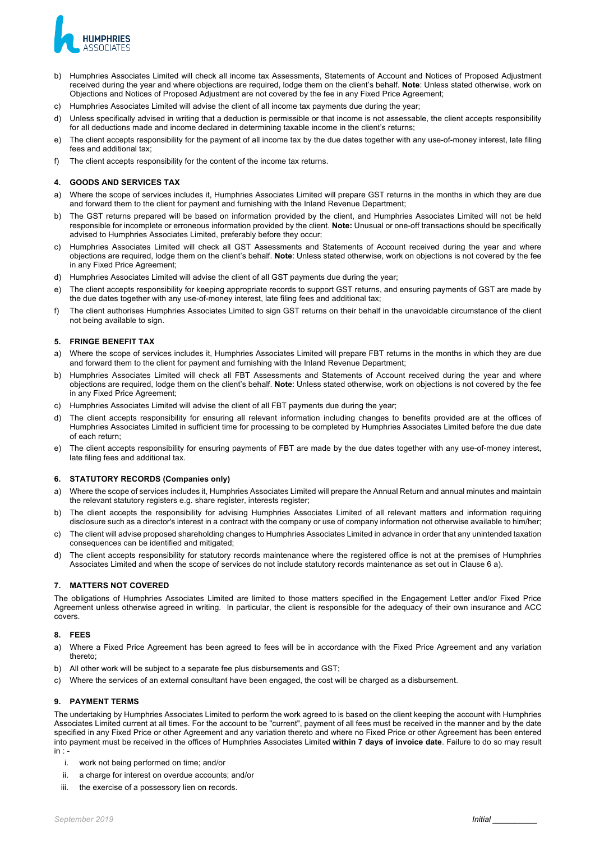

- b) Humphries Associates Limited will check all income tax Assessments, Statements of Account and Notices of Proposed Adjustment received during the year and where objections are required, lodge them on the client's behalf. **Note**: Unless stated otherwise, work on Objections and Notices of Proposed Adjustment are not covered by the fee in any Fixed Price Agreement;
- c) Humphries Associates Limited will advise the client of all income tax payments due during the year;
- d) Unless specifically advised in writing that a deduction is permissible or that income is not assessable, the client accepts responsibility for all deductions made and income declared in determining taxable income in the client's returns;
- e) The client accepts responsibility for the payment of all income tax by the due dates together with any use-of-money interest, late filing fees and additional tax;
- f) The client accepts responsibility for the content of the income tax returns.

# **4. GOODS AND SERVICES TAX**

- a) Where the scope of services includes it, Humphries Associates Limited will prepare GST returns in the months in which they are due and forward them to the client for payment and furnishing with the Inland Revenue Department;
- b) The GST returns prepared will be based on information provided by the client, and Humphries Associates Limited will not be held responsible for incomplete or erroneous information provided by the client. **Note:** Unusual or one-off transactions should be specifically advised to Humphries Associates Limited, preferably before they occur;
- c) Humphries Associates Limited will check all GST Assessments and Statements of Account received during the year and where objections are required, lodge them on the client's behalf. **Note**: Unless stated otherwise, work on objections is not covered by the fee in any Fixed Price Agreement;
- d) Humphries Associates Limited will advise the client of all GST payments due during the year;
- e) The client accepts responsibility for keeping appropriate records to support GST returns, and ensuring payments of GST are made by the due dates together with any use-of-money interest, late filing fees and additional tax;
- f) The client authorises Humphries Associates Limited to sign GST returns on their behalf in the unavoidable circumstance of the client not being available to sign.

#### **5. FRINGE BENEFIT TAX**

- a) Where the scope of services includes it, Humphries Associates Limited will prepare FBT returns in the months in which they are due and forward them to the client for payment and furnishing with the Inland Revenue Department;
- b) Humphries Associates Limited will check all FBT Assessments and Statements of Account received during the year and where objections are required, lodge them on the client's behalf. **Note**: Unless stated otherwise, work on objections is not covered by the fee in any Fixed Price Agreement;
- c) Humphries Associates Limited will advise the client of all FBT payments due during the year;
- d) The client accepts responsibility for ensuring all relevant information including changes to benefits provided are at the offices of Humphries Associates Limited in sufficient time for processing to be completed by Humphries Associates Limited before the due date of each return;
- e) The client accepts responsibility for ensuring payments of FBT are made by the due dates together with any use-of-money interest, late filing fees and additional tax.

#### **6. STATUTORY RECORDS (Companies only)**

- a) Where the scope of services includes it, Humphries Associates Limited will prepare the Annual Return and annual minutes and maintain the relevant statutory registers e.g. share register, interests register;
- b) The client accepts the responsibility for advising Humphries Associates Limited of all relevant matters and information requiring disclosure such as a director's interest in a contract with the company or use of company information not otherwise available to him/her;
- c) The client will advise proposed shareholding changes to Humphries Associates Limited in advance in order that any unintended taxation consequences can be identified and mitigated;
- d) The client accepts responsibility for statutory records maintenance where the registered office is not at the premises of Humphries Associates Limited and when the scope of services do not include statutory records maintenance as set out in Clause 6 a).

#### **7. MATTERS NOT COVERED**

The obligations of Humphries Associates Limited are limited to those matters specified in the Engagement Letter and/or Fixed Price Agreement unless otherwise agreed in writing. In particular, the client is responsible for the adequacy of their own insurance and ACC covers.

#### **8. FEES**

- a) Where a Fixed Price Agreement has been agreed to fees will be in accordance with the Fixed Price Agreement and any variation thereto;
- b) All other work will be subject to a separate fee plus disbursements and GST;
- c) Where the services of an external consultant have been engaged, the cost will be charged as a disbursement.

#### **9. PAYMENT TERMS**

The undertaking by Humphries Associates Limited to perform the work agreed to is based on the client keeping the account with Humphries Associates Limited current at all times. For the account to be "current", payment of all fees must be received in the manner and by the date specified in any Fixed Price or other Agreement and any variation thereto and where no Fixed Price or other Agreement has been entered into payment must be received in the offices of Humphries Associates Limited **within 7 days of invoice date**. Failure to do so may result  $in:$ 

- i. work not being performed on time; and/or
- ii. a charge for interest on overdue accounts; and/or
- iii. the exercise of a possessory lien on records.